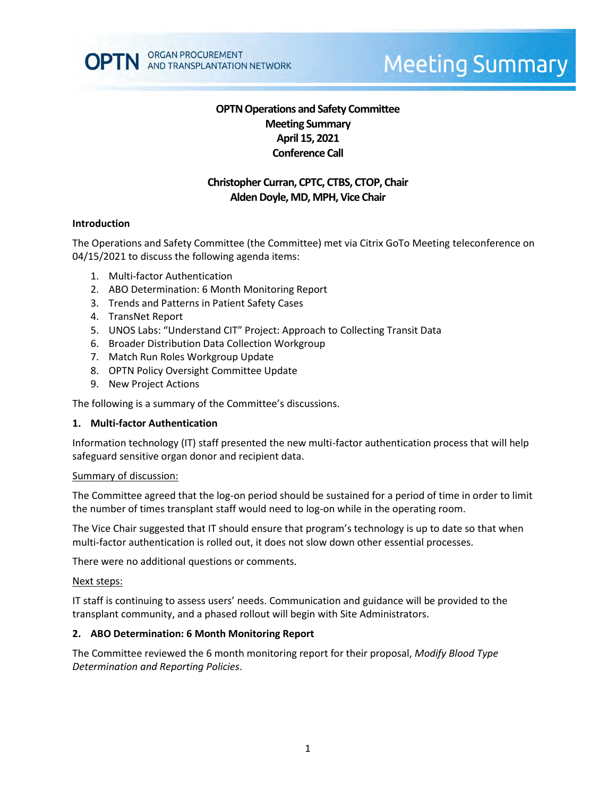

# **Meeting Summary**

# **OPTN Operations and Safety Committee Meeting Summary April 15, 2021 Conference Call**

# **Christopher Curran, CPTC, CTBS, CTOP, Chair Alden Doyle, MD, MPH, Vice Chair**

#### **Introduction**

The Operations and Safety Committee (the Committee) met via Citrix GoTo Meeting teleconference on 04/15/2021 to discuss the following agenda items:

- 1. Multi-factor Authentication
- 2. ABO Determination: 6 Month Monitoring Report
- 3. Trends and Patterns in Patient Safety Cases
- 4. TransNet Report
- 5. UNOS Labs: "Understand CIT" Project: Approach to Collecting Transit Data
- 6. Broader Distribution Data Collection Workgroup
- 7. Match Run Roles Workgroup Update
- 8. OPTN Policy Oversight Committee Update
- 9. New Project Actions

The following is a summary of the Committee's discussions.

#### **1. Multi-factor Authentication**

Information technology (IT) staff presented the new multi-factor authentication process that will help safeguard sensitive organ donor and recipient data.

#### Summary of discussion:

The Committee agreed that the log-on period should be sustained for a period of time in order to limit the number of times transplant staff would need to log-on while in the operating room.

The Vice Chair suggested that IT should ensure that program's technology is up to date so that when multi-factor authentication is rolled out, it does not slow down other essential processes.

There were no additional questions or comments.

#### Next steps:

IT staff is continuing to assess users' needs. Communication and guidance will be provided to the transplant community, and a phased rollout will begin with Site Administrators.

#### **2. ABO Determination: 6 Month Monitoring Report**

The Committee reviewed the 6 month monitoring report for their proposal, *Modify Blood Type Determination and Reporting Policies*.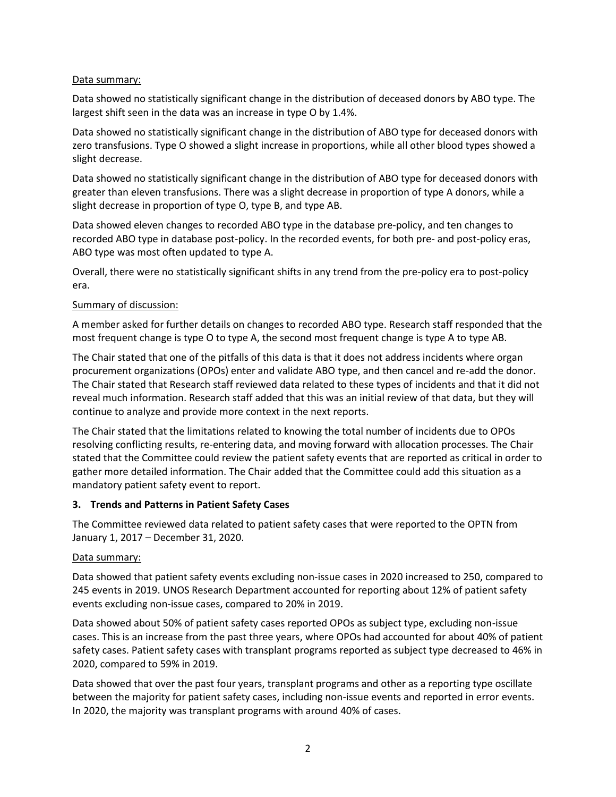## Data summary:

Data showed no statistically significant change in the distribution of deceased donors by ABO type. The largest shift seen in the data was an increase in type O by 1.4%.

Data showed no statistically significant change in the distribution of ABO type for deceased donors with zero transfusions. Type O showed a slight increase in proportions, while all other blood types showed a slight decrease.

Data showed no statistically significant change in the distribution of ABO type for deceased donors with greater than eleven transfusions. There was a slight decrease in proportion of type A donors, while a slight decrease in proportion of type O, type B, and type AB.

Data showed eleven changes to recorded ABO type in the database pre-policy, and ten changes to recorded ABO type in database post-policy. In the recorded events, for both pre- and post-policy eras, ABO type was most often updated to type A.

Overall, there were no statistically significant shifts in any trend from the pre-policy era to post-policy era.

## Summary of discussion:

A member asked for further details on changes to recorded ABO type. Research staff responded that the most frequent change is type O to type A, the second most frequent change is type A to type AB.

The Chair stated that one of the pitfalls of this data is that it does not address incidents where organ procurement organizations (OPOs) enter and validate ABO type, and then cancel and re-add the donor. The Chair stated that Research staff reviewed data related to these types of incidents and that it did not reveal much information. Research staff added that this was an initial review of that data, but they will continue to analyze and provide more context in the next reports.

The Chair stated that the limitations related to knowing the total number of incidents due to OPOs resolving conflicting results, re-entering data, and moving forward with allocation processes. The Chair stated that the Committee could review the patient safety events that are reported as critical in order to gather more detailed information. The Chair added that the Committee could add this situation as a mandatory patient safety event to report.

## **3. Trends and Patterns in Patient Safety Cases**

The Committee reviewed data related to patient safety cases that were reported to the OPTN from January 1, 2017 – December 31, 2020.

## Data summary:

Data showed that patient safety events excluding non-issue cases in 2020 increased to 250, compared to 245 events in 2019. UNOS Research Department accounted for reporting about 12% of patient safety events excluding non-issue cases, compared to 20% in 2019.

Data showed about 50% of patient safety cases reported OPOs as subject type, excluding non-issue cases. This is an increase from the past three years, where OPOs had accounted for about 40% of patient safety cases. Patient safety cases with transplant programs reported as subject type decreased to 46% in 2020, compared to 59% in 2019.

Data showed that over the past four years, transplant programs and other as a reporting type oscillate between the majority for patient safety cases, including non-issue events and reported in error events. In 2020, the majority was transplant programs with around 40% of cases.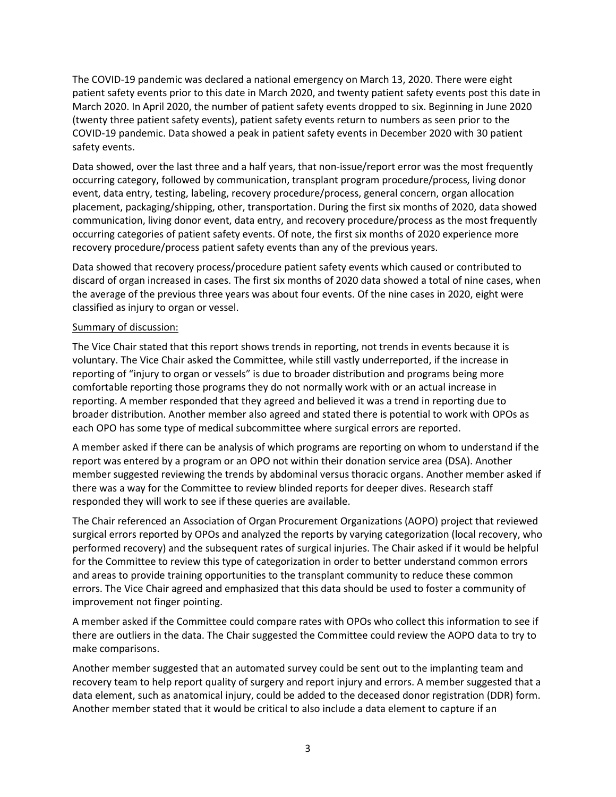The COVID-19 pandemic was declared a national emergency on March 13, 2020. There were eight patient safety events prior to this date in March 2020, and twenty patient safety events post this date in March 2020. In April 2020, the number of patient safety events dropped to six. Beginning in June 2020 (twenty three patient safety events), patient safety events return to numbers as seen prior to the COVID-19 pandemic. Data showed a peak in patient safety events in December 2020 with 30 patient safety events.

Data showed, over the last three and a half years, that non-issue/report error was the most frequently occurring category, followed by communication, transplant program procedure/process, living donor event, data entry, testing, labeling, recovery procedure/process, general concern, organ allocation placement, packaging/shipping, other, transportation. During the first six months of 2020, data showed communication, living donor event, data entry, and recovery procedure/process as the most frequently occurring categories of patient safety events. Of note, the first six months of 2020 experience more recovery procedure/process patient safety events than any of the previous years.

Data showed that recovery process/procedure patient safety events which caused or contributed to discard of organ increased in cases. The first six months of 2020 data showed a total of nine cases, when the average of the previous three years was about four events. Of the nine cases in 2020, eight were classified as injury to organ or vessel.

## Summary of discussion:

The Vice Chair stated that this report shows trends in reporting, not trends in events because it is voluntary. The Vice Chair asked the Committee, while still vastly underreported, if the increase in reporting of "injury to organ or vessels" is due to broader distribution and programs being more comfortable reporting those programs they do not normally work with or an actual increase in reporting. A member responded that they agreed and believed it was a trend in reporting due to broader distribution. Another member also agreed and stated there is potential to work with OPOs as each OPO has some type of medical subcommittee where surgical errors are reported.

A member asked if there can be analysis of which programs are reporting on whom to understand if the report was entered by a program or an OPO not within their donation service area (DSA). Another member suggested reviewing the trends by abdominal versus thoracic organs. Another member asked if there was a way for the Committee to review blinded reports for deeper dives. Research staff responded they will work to see if these queries are available.

The Chair referenced an Association of Organ Procurement Organizations (AOPO) project that reviewed surgical errors reported by OPOs and analyzed the reports by varying categorization (local recovery, who performed recovery) and the subsequent rates of surgical injuries. The Chair asked if it would be helpful for the Committee to review this type of categorization in order to better understand common errors and areas to provide training opportunities to the transplant community to reduce these common errors. The Vice Chair agreed and emphasized that this data should be used to foster a community of improvement not finger pointing.

A member asked if the Committee could compare rates with OPOs who collect this information to see if there are outliers in the data. The Chair suggested the Committee could review the AOPO data to try to make comparisons.

Another member suggested that an automated survey could be sent out to the implanting team and recovery team to help report quality of surgery and report injury and errors. A member suggested that a data element, such as anatomical injury, could be added to the deceased donor registration (DDR) form. Another member stated that it would be critical to also include a data element to capture if an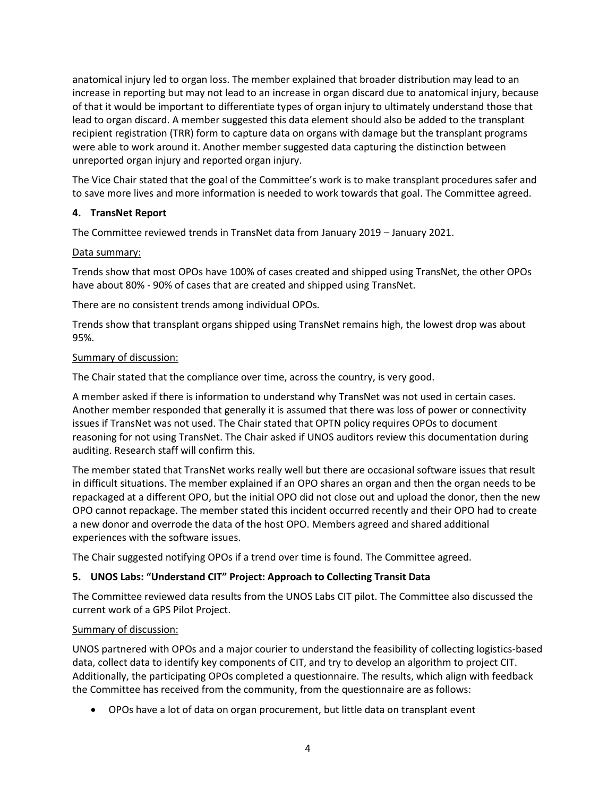anatomical injury led to organ loss. The member explained that broader distribution may lead to an increase in reporting but may not lead to an increase in organ discard due to anatomical injury, because of that it would be important to differentiate types of organ injury to ultimately understand those that lead to organ discard. A member suggested this data element should also be added to the transplant recipient registration (TRR) form to capture data on organs with damage but the transplant programs were able to work around it. Another member suggested data capturing the distinction between unreported organ injury and reported organ injury.

The Vice Chair stated that the goal of the Committee's work is to make transplant procedures safer and to save more lives and more information is needed to work towards that goal. The Committee agreed.

## **4. TransNet Report**

The Committee reviewed trends in TransNet data from January 2019 – January 2021.

## Data summary:

Trends show that most OPOs have 100% of cases created and shipped using TransNet, the other OPOs have about 80% - 90% of cases that are created and shipped using TransNet.

There are no consistent trends among individual OPOs.

Trends show that transplant organs shipped using TransNet remains high, the lowest drop was about 95%.

## Summary of discussion:

The Chair stated that the compliance over time, across the country, is very good.

A member asked if there is information to understand why TransNet was not used in certain cases. Another member responded that generally it is assumed that there was loss of power or connectivity issues if TransNet was not used. The Chair stated that OPTN policy requires OPOs to document reasoning for not using TransNet. The Chair asked if UNOS auditors review this documentation during auditing. Research staff will confirm this.

The member stated that TransNet works really well but there are occasional software issues that result in difficult situations. The member explained if an OPO shares an organ and then the organ needs to be repackaged at a different OPO, but the initial OPO did not close out and upload the donor, then the new OPO cannot repackage. The member stated this incident occurred recently and their OPO had to create a new donor and overrode the data of the host OPO. Members agreed and shared additional experiences with the software issues.

The Chair suggested notifying OPOs if a trend over time is found. The Committee agreed.

# **5. UNOS Labs: "Understand CIT" Project: Approach to Collecting Transit Data**

The Committee reviewed data results from the UNOS Labs CIT pilot. The Committee also discussed the current work of a GPS Pilot Project.

## Summary of discussion:

UNOS partnered with OPOs and a major courier to understand the feasibility of collecting logistics-based data, collect data to identify key components of CIT, and try to develop an algorithm to project CIT. Additionally, the participating OPOs completed a questionnaire. The results, which align with feedback the Committee has received from the community, from the questionnaire are as follows:

OPOs have a lot of data on organ procurement, but little data on transplant event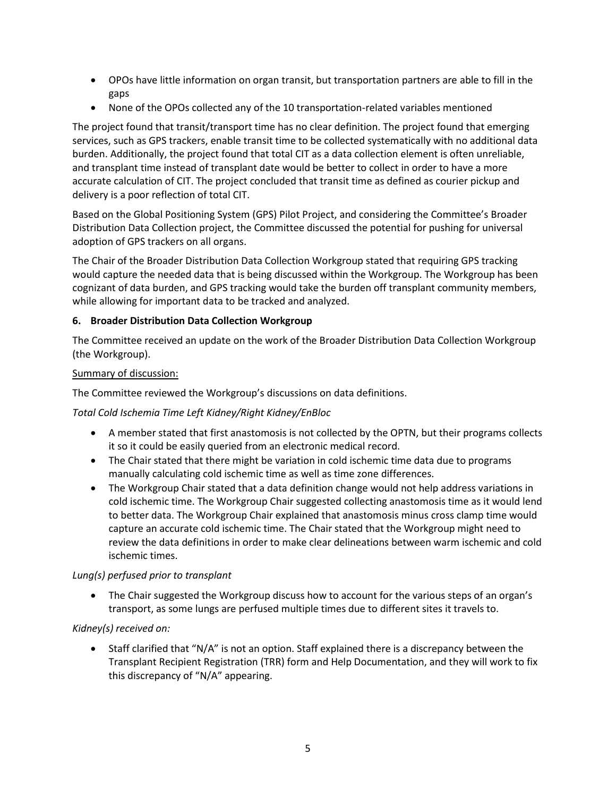- OPOs have little information on organ transit, but transportation partners are able to fill in the gaps
- None of the OPOs collected any of the 10 transportation-related variables mentioned

The project found that transit/transport time has no clear definition. The project found that emerging services, such as GPS trackers, enable transit time to be collected systematically with no additional data burden. Additionally, the project found that total CIT as a data collection element is often unreliable, and transplant time instead of transplant date would be better to collect in order to have a more accurate calculation of CIT. The project concluded that transit time as defined as courier pickup and delivery is a poor reflection of total CIT.

Based on the Global Positioning System (GPS) Pilot Project, and considering the Committee's Broader Distribution Data Collection project, the Committee discussed the potential for pushing for universal adoption of GPS trackers on all organs.

The Chair of the Broader Distribution Data Collection Workgroup stated that requiring GPS tracking would capture the needed data that is being discussed within the Workgroup. The Workgroup has been cognizant of data burden, and GPS tracking would take the burden off transplant community members, while allowing for important data to be tracked and analyzed.

# **6. Broader Distribution Data Collection Workgroup**

The Committee received an update on the work of the Broader Distribution Data Collection Workgroup (the Workgroup).

# Summary of discussion:

The Committee reviewed the Workgroup's discussions on data definitions.

# *Total Cold Ischemia Time Left Kidney/Right Kidney/EnBloc*

- A member stated that first anastomosis is not collected by the OPTN, but their programs collects it so it could be easily queried from an electronic medical record.
- The Chair stated that there might be variation in cold ischemic time data due to programs manually calculating cold ischemic time as well as time zone differences.
- The Workgroup Chair stated that a data definition change would not help address variations in cold ischemic time. The Workgroup Chair suggested collecting anastomosis time as it would lend to better data. The Workgroup Chair explained that anastomosis minus cross clamp time would capture an accurate cold ischemic time. The Chair stated that the Workgroup might need to review the data definitions in order to make clear delineations between warm ischemic and cold ischemic times.

# *Lung(s) perfused prior to transplant*

• The Chair suggested the Workgroup discuss how to account for the various steps of an organ's transport, as some lungs are perfused multiple times due to different sites it travels to.

# *Kidney(s) received on:*

 Staff clarified that "N/A" is not an option. Staff explained there is a discrepancy between the Transplant Recipient Registration (TRR) form and Help Documentation, and they will work to fix this discrepancy of "N/A" appearing.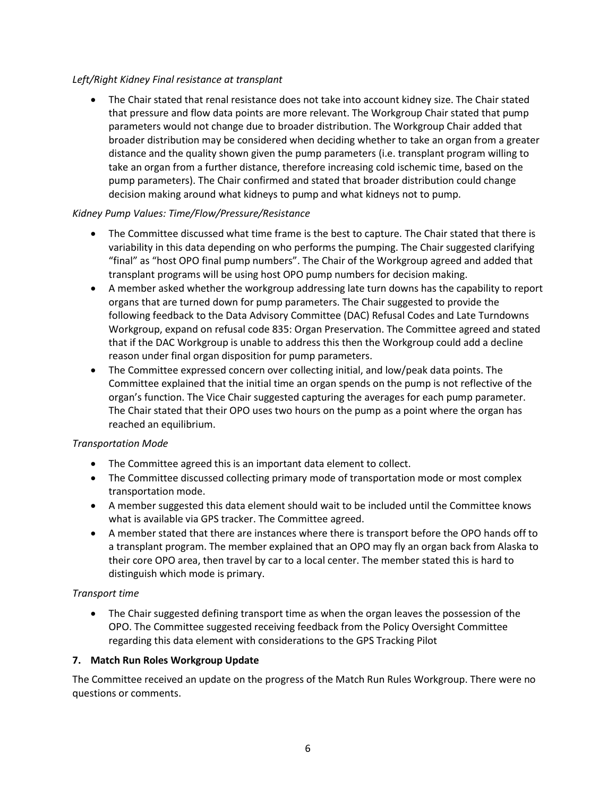## *Left/Right Kidney Final resistance at transplant*

 The Chair stated that renal resistance does not take into account kidney size. The Chair stated that pressure and flow data points are more relevant. The Workgroup Chair stated that pump parameters would not change due to broader distribution. The Workgroup Chair added that broader distribution may be considered when deciding whether to take an organ from a greater distance and the quality shown given the pump parameters (i.e. transplant program willing to take an organ from a further distance, therefore increasing cold ischemic time, based on the pump parameters). The Chair confirmed and stated that broader distribution could change decision making around what kidneys to pump and what kidneys not to pump.

## *Kidney Pump Values: Time/Flow/Pressure/Resistance*

- The Committee discussed what time frame is the best to capture. The Chair stated that there is variability in this data depending on who performs the pumping. The Chair suggested clarifying "final" as "host OPO final pump numbers". The Chair of the Workgroup agreed and added that transplant programs will be using host OPO pump numbers for decision making.
- A member asked whether the workgroup addressing late turn downs has the capability to report organs that are turned down for pump parameters. The Chair suggested to provide the following feedback to the Data Advisory Committee (DAC) Refusal Codes and Late Turndowns Workgroup, expand on refusal code 835: Organ Preservation. The Committee agreed and stated that if the DAC Workgroup is unable to address this then the Workgroup could add a decline reason under final organ disposition for pump parameters.
- The Committee expressed concern over collecting initial, and low/peak data points. The Committee explained that the initial time an organ spends on the pump is not reflective of the organ's function. The Vice Chair suggested capturing the averages for each pump parameter. The Chair stated that their OPO uses two hours on the pump as a point where the organ has reached an equilibrium.

## *Transportation Mode*

- The Committee agreed this is an important data element to collect.
- The Committee discussed collecting primary mode of transportation mode or most complex transportation mode.
- A member suggested this data element should wait to be included until the Committee knows what is available via GPS tracker. The Committee agreed.
- A member stated that there are instances where there is transport before the OPO hands off to a transplant program. The member explained that an OPO may fly an organ back from Alaska to their core OPO area, then travel by car to a local center. The member stated this is hard to distinguish which mode is primary.

## *Transport time*

 The Chair suggested defining transport time as when the organ leaves the possession of the OPO. The Committee suggested receiving feedback from the Policy Oversight Committee regarding this data element with considerations to the GPS Tracking Pilot

## **7. Match Run Roles Workgroup Update**

The Committee received an update on the progress of the Match Run Rules Workgroup. There were no questions or comments.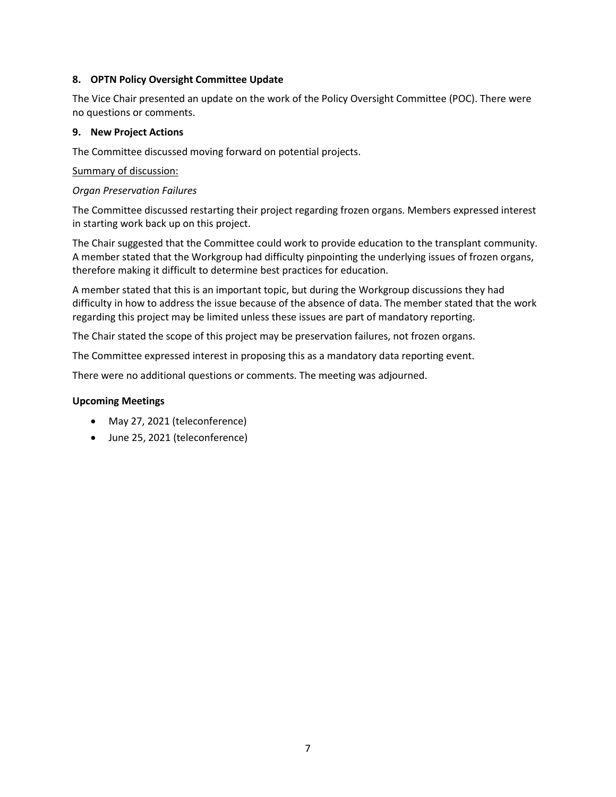## **8. OPTN Policy Oversight Committee Update**

The Vice Chair presented an update on the work of the Policy Oversight Committee (POC). There were no questions or comments.

## **9. New Project Actions**

The Committee discussed moving forward on potential projects.

## Summary of discussion:

## *Organ Preservation Failures*

The Committee discussed restarting their project regarding frozen organs. Members expressed interest in starting work back up on this project.

The Chair suggested that the Committee could work to provide education to the transplant community. A member stated that the Workgroup had difficulty pinpointing the underlying issues of frozen organs, therefore making it difficult to determine best practices for education.

A member stated that this is an important topic, but during the Workgroup discussions they had difficulty in how to address the issue because of the absence of data. The member stated that the work regarding this project may be limited unless these issues are part of mandatory reporting.

The Chair stated the scope of this project may be preservation failures, not frozen organs.

The Committee expressed interest in proposing this as a mandatory data reporting event.

There were no additional questions or comments. The meeting was adjourned.

## **Upcoming Meetings**

- May 27, 2021 (teleconference)
- June 25, 2021 (teleconference)